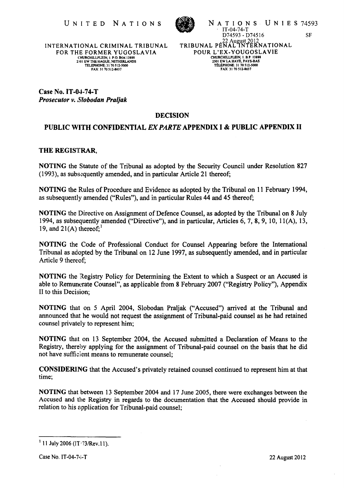

UNITED NATIONS NATIONS IT-04-74-T<br>
D74593-D74516 SF<br>
D74593-D74516 SF<br>
D74593-D74516 SF<br>
D74593-D74516 SF<br>
D74593-D74516 SF<br>
D74593-D74516 SF IT-04-74-T D74593 - D74516 ,22 AUKust 2012 TRIBUNAL PENAL INTERNA TIONAL POUR L'EX-YOUGOSLAVIE CHURCHILLPLEIN, I. 8P \388S 2501 EWLA HAYE, PAYS·BAS TELEPHONE: 31 70 S 12-5000 FAX: 31 70 *S12·8637*  SF

INTERNATIONAL CRIMINAL TRIBUNAL FOR THE FORMER YUGOSLA VIA CHURCHILLPLEIN, 1. P.O. BOX 13888<br>2501 EW THE HAGUE, NETH<mark>ERLANDS</mark> TELEPHONE: 3170512·5000 FAX: *3170S12.8637* 

Case No. IT -04· 74-T *Prosecutor v. Slobodan Praljak* 

# DECISION

# PUBLIC WITH CONFIDENTIAL EX PARTE APPENDIX I & PUBLIC APPENDIX 11

# THE REGISTRAR,

NOTING the Statute of the Tribunal as adopted by the Security Council under Resolution 827  $(1993)$ , as subsequently amended, and in particular Article 21 thereof;

NOTING the Rules of Procedure and Evidence as adopted by the Tribunal on 11 February 1994, as subsequently amended ("Rules"), and in particular Rules 44 and 45 thereof;

NOTING the Directive on Assignment of Defence Counsel, as adopted by the Tribunal on 8 July 1994, as subsequently amended ("Directive"), and in particular, Articles 6, 7, 8, 9, 10, 11 $(A)$ , 13, 19, and  $21(A)$  thereof;<sup>1</sup>

NOTING the Code of Professional Conduct for Counsel Appearing before the International Tribunal as adopted by the Tribunal on 12 June 1997, as subsequently amended, and in particular Article 9 thereof;

NOTING the Registry Policy for Determining the Extent to which a Suspect or an Accused is able to Remunerate Counsel", as applicable from 8 February 2007 ("Registry Policy"), Appendix 11 to this Decision;

NOTING that on 5 April 2004, Slobodan Praljak ("Accused") arrived at the Tribunal and announced that he would not request the assignment of Tribunal-paid counsel as he had retained counsel privately to represent him;

NOTING that on 13 September 2004, the Accused submitted a Declaration of Means to the Registry, thereby applying for the assignment of Tribunal-paid counsel on the basis that he did not have sufficient means to remunerate counsel;

CONSIDERING that the Accused's privately retained counsel continued to represent him at that time;

NOTING that between 13 September 2004 and 17 June 2005, there were exchanges between the Accused and the Registry in regards to the documentation that the Accused should provide in relation to his application for Tribunal-paid counsel;

 $11$  July 2006 (IT  $/73$ /Rev.11).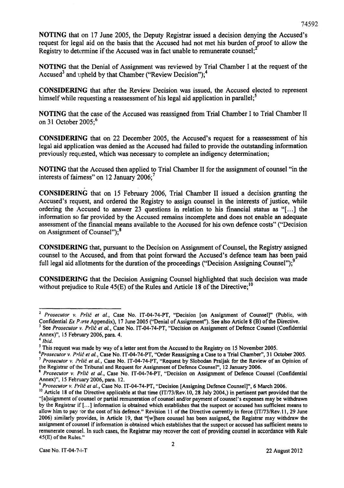NOTING that on 17 June 2005, the Deputy Registrar issued a decision denying the Accused's request for legal aid on the basis that the Accused had not met his burden of proof to allow the Registry to determine if the Accused was in fact unable to remunerate counsel;<sup>2</sup>

NOTING that the Denial of Assignment was reviewed by Trial Chamber I at the request of the Accused<sup>3</sup> and upheld by that Chamber ("Review Decision");<sup>4</sup>

CONSIDERING that after the Review Decision was issued, the Accused elected to represent himself while requesting a reassessment of his legal aid application in parallel;<sup>5</sup>

NOTING that the case of the Accused was reassigned from Trial Chamber I to Trial Chamber 11 on 31 October  $2005$ ;<sup>6</sup>

CONSIDERING that on 22 December 2005, the Accused's request for a reassessment of his legal aid application was denied as the Accused had failed to provide the outstanding information previously requested, which was necessary to complete an indigency determination;

NOTING that the Accused then applied to Trial Chamber 11 for the assignment of counsel "in the interests of faimess" on 12 January 2006; <sup>7</sup>

CONSIDERING that on 15 February 2006, Trial Chamber 11 issued a decision granting the Accused's request, and ordered the Registry to assign counsel in the interests of justice, while ordering the Accused to answer 23 questions in relation to his financial status as "[...] the information so far provided by the Accused remains incomplete and does not enable an adequate assessment of the financial means available to the Accused for his own defence costs" ("Decision on Assignment of Counsel"); 8

CONSIDERING that, pursuant to the Decision on Assignment of Counsel, the Registry assigned counsel to the Accused, and from that point forward the Accused's defence team has been paid full legal aid allotments for the duration of the proceedings ("Decision Assigning Counsel");<sup>9</sup>

CONSIDERING that the Decision Assigning Counsel highlighted that such decision was made without prejudice to Rule  $45(E)$  of the Rules and Article 18 of the Directive;<sup>10</sup>

<sup>2</sup>*Prosecutor v. Prlic et al.,* Case No. IT-04-74-PT, "Decision [on Assignment of Counsel]" (Public, with Confidential Ex *P..rrte* Appendix), 17 June 2005 ("Denial of Assignment"). See also Article 8 (B) of the Directive.

<sup>&</sup>lt;sup>3</sup> See Prosecutor v. Prlic et al., Case No. IT-04-74-PT, "Decision on Assignment of Defence Counsel (Confidential Annex}", 15 February 2006, para. 4.

*<sup>4</sup> Ibid.* 

<sup>&</sup>lt;sup>5</sup> This request was made by way of a letter sent from the Accused to the Registry on 15 November 2005.

*<sup>6</sup>Prosecutor v. Prlic et al.,* Case No. 1T-04-74-PT, "Order Reassigning a Case to a Trial Chamber", 31 October 2005. <sup>7</sup>*Prosecutor v. Prlic et al.,* Case No. IT -04-74-PT, "Request by Slobodan Praljak for the Review of an Opinion of the Registrar of the Tribunal and Request for Assignment of Defence Counsel", 12 January 2006.

<sup>8</sup>*Prosecutor v. Prlic et al.,* Case No. IT-04-74-PT, "Decision on Assignment of Defence Counsel (Confidential Annex)", 15 February 2006, para. 12. .

*<sup>9</sup> Prosecutor v. i'rlic et al.,* Case No. IT-04-74-PT, "Decision [Assigning Defence Counsel]", 6 March 2006.

<sup>&</sup>lt;sup>10</sup> Article 18 of the Directive applicable at that time (IT/73/Rev.10, 28 July 2004,) in pertinent part provided that the "[a]ssignment of counsel or partial remuneration of counsel and/or payment of counsel's expenses may be withdrawn by the Registrar if [...] information is obtained which establishes that the suspect or accused has sufficient means to allow him to pay for the cost of his defence." Revision 11 of the Directive currently in force (IT/73/Rev.11, 29 June 2006) similarly provides, in Article 19, that "[w]here counsel has been assigned, the Registrar may withdraw the assignment of counsel if infonnation is obtained which establishes that the suspect or accused has sufficient means to remunerate counsel. In such cases, the Registrar may recover the cost of providing counsel in accordance with Rule 45(E) of the Rules."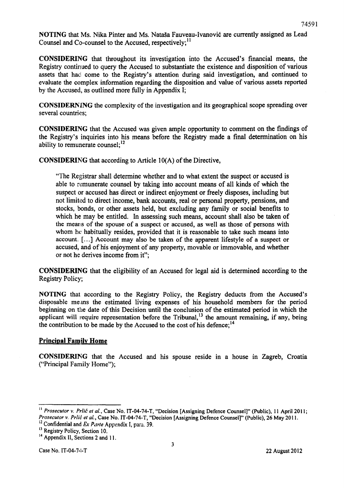NOTING that Ms. Nika Pinter and Ms. Nataša Fauveau-Ivanović are currently assigned as Lead Counsel and Co-counsel to the Accused, respectively;<sup>11</sup>

CONSIDERING that throughout its investigation into the Accused's financial means, the Registry continued to query the Accused to substantiate the existence and disposition of various assets that had come to the Registry's attention during said investigation, and continued to evaluate the complex infonnation regarding the disposition and value of various assets reported by the Accused, as outlined more fully in Appendix I;

CONSIDERNING the complexity of the investigation and its geographical scope spreading over several countries;

CONSIDERING that the Accused was given ample opportunity to comment on the findings of the Registry's inquiries into his means before the Registry made a final determination on his ability to remunerate counsel; $^{12}$ 

CONSIDERING that according to Article lO(A) of the Directive,

"The Registrar shall determine whether and to what extent the suspect or accused is able to remunerate counsel by taking into account means of all kinds of which the suspect or accused has direct or indirect enjoyment or freely disposes, including but not limited to direct income, bank accounts, real or personal property, pensions, and stocks, bonds, or other assets held, but excluding any family or social benefits to which he may be entitled. In assessing such means, account shall also be taken of the means of the spouse of a suspect or accused, as well as those of persons with whom he habitually resides, provided that it is reasonable to take such means into account. [...] Account may also be taken of the apparent lifestyle of a suspect or accused, and of his enjoyment of any property, movable or immovable, and whether or not he derives income from it";

CONSIDERING that the eligibility of an Accused for legal aid is determined according to the Registry Policy;

NOTING that according to the Registry Policy, the Registry deducts from the Accused's disposable means the estimated living expenses of his household members for the period beginning on the date of this Decision until the conclusion of the estimated period in which the applicant will require representation before the Tribunal,<sup>13</sup> the amount remaining, if any, being the contribution to be made by the Accused to the cost of his defence;  $14$ 

# **Principal Family Home**

CONSIDERING that the Accused and his spouse reside in a house in Zagreb, Croatia ("Principal Family Home");

<sup>&</sup>lt;sup>11</sup> Prosecutor v. Prlić et al., Case No. IT-04-74-T, "Decision [Assigning Defence Counsel]" (Public), 11 April 2011; Prosecutor v. Prlić et al., Case No. IT-04-74-T, "Decision [Assigning Defence Counsel]" (Public), 26 May 2011.

<sup>&</sup>lt;sup>12</sup> Confidential and Ex Parte Appendix I, para. 39.

<sup>&</sup>lt;sup>13</sup> Registry Policy, Section 10.

<sup>&</sup>lt;sup>14</sup> Appendix II, Sections 2 and 11.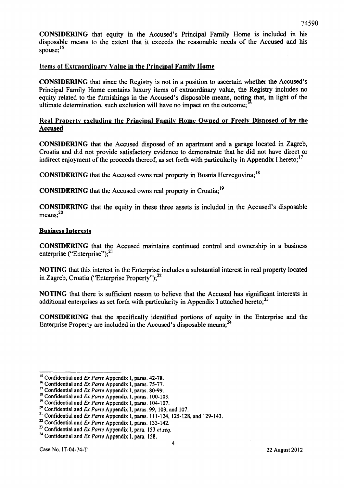CONSIDERING that equity in the Accused's Principal Family Home is included in his disposable means to the extent that it exceeds the reasonable needs of the Accused and his spouse:<sup>15</sup>

# Items of Extraordinary Value in the Principal Family Home

CONSIDERING that since the Registry is not in a position to ascertain whether the Accused's Principal Family Home contains luxury items of extraordinary value, the Registry includes no equity related to the furnishings in the Accused's disposable means, noting that, in light of the ultimate determination, such exclusion will have no impact on the outcome;

# Real Property excluding the Principal Family Home Owned or Freely Disposed of by the Accused

CONSIDERING that the Accused disposed of an apartment and a garage located in Zagreb, Croatia and did not provide satisfactory evidence to demonstrate that he did not have direct or indirect enjoyment of the proceeds thereof, as set forth with particularity in Appendix I hereto;<sup>17</sup>

CONSIDERING that the Accused owns real property in Bosnia Herzegovina; 18

CONSIDERING that the Accused owns real property in Croatia;<sup>19</sup>

CONSIDERING that the equity in these three assets is included in the Accused's disposable  $means: <sup>20</sup>$ 

#### Business Interests

CONSIDERING that the Accused maintains continued control and ownership in a business enterprise ("Enterprise"); $^{21}$ 

NOTING that this interest in the Enterprise includes a substantial interest in real property located in Zagreb, Croatia ("Enterprise Property"); $^{22}$ 

NOTING that there is sufficient reason to believe that the Accused has significant interests in additional enterprises as set forth with particularity in Appendix I attached hereto; $^{23}$ 

CONSIDERING that the specifically identified portions of equity in the Enterprise and the Enterprise Property are included in the Accused's disposable means;<sup>24</sup>

<sup>&</sup>lt;sup>15</sup> Confidential and *Ex Parte* Appendix I, paras. 42-78.

<sup>&</sup>lt;sup>16</sup> Confidential and *Ex Parte* Appendix I, paras. 75-77.

<sup>&</sup>lt;sup>17</sup> Confidential and Ex Parte Appendix I, paras. 80-99.

<sup>&</sup>lt;sup>18</sup> Confidential and *Ex Parte* Appendix I, paras. 100-103.

<sup>19</sup>Confidential and Ex *Parte* Appendix I, paras. 104-107.

<sup>20</sup> Confidential and Ex *Parte* Appendix I, paras. 99, 103, and 107.

<sup>&</sup>lt;sup>21</sup> Confidential and *Ex Parte* Appendix I, paras. 111-124, 125-128, and 129-143.

<sup>22</sup>Confidential and Ex *Parte* Appendix I, paras. 133-142.

<sup>23</sup> Confidential and *Ex Parte* Appendix I, para. 153 *et seq.* 

<sup>&</sup>lt;sup>24</sup> Confidential and *Ex Parte* Appendix I, para. 158.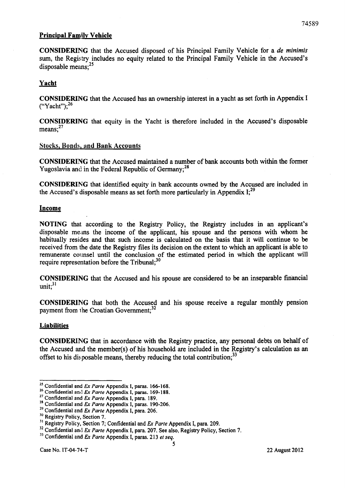# Principal Family Vehicle

CONSIDERING that the Accused disposed of his Principal Family Vehicle for a *de minimis*  sum, the Registry includes no equity related to the Principal Family Vehicle in the Accused's disposable means: $^{25}$ 

# Yacht

CONSIDERING that the Accused has an ownership interest in a yacht as set forth in Appendix I  $("Yacht")$ ;<sup>26</sup>

CONSIDERING that equity in the Yacht is therefore included in the Accused's disposable means; $^{27}$ 

# Stocks. Bonds. and Bank Accounts

CONSIDERING that the Accused maintained a number of bank accounts both within the former Yugoslavia and in the Federal Republic of Germany;<sup>28</sup>

CONSIDERING that identified equity in bank accounts owned by the Accused are included in the Accused's disposable means as set forth more particularly in Appendix  $I_{i}^{29}$ 

# Income

NOTING that according to the Registry Policy, the Registry includes in an applicant's disposable means the income of the applicant, his spouse and the persons with whom he habitually resides and that such income is calculated on the basis that it will continue to be received from the date the Registry files its decision on the extent to which an applicant is able to remunerate counsel until the conclusion of the estimated period in which the applicant will require representation before the Tribunal; $^{30}$ 

CONSIDERING that the Accused and his spouse are considered to be an inseparable financial unit: $31$ 

CONSIDERING that both the Accused and his spouse receive a regular monthly pension payment from the Croatian Government;<sup>32</sup>

#### **Liabilities**

CONSIDERING that in accordance with the Registry practice, any personal debts on behalf of the Accused and the member(s) of his household are included in the Registry's calculation as an offset to his disposable means, thereby reducing the total contribution;<sup>33</sup>

<sup>&</sup>lt;sup>25</sup> Confidential and Ex Parte Appendix I, paras. 166-168.

<sup>&</sup>lt;sup>26</sup> Confidential and *Ex Parte* Appendix I, paras. 169-188.

<sup>27</sup> Confidential and Ex *Parte* Appendix I, para. 189.

<sup>28</sup> Confidential and Ex *Parte* Appendix I, paras. 190-206.

<sup>&</sup>lt;sup>29</sup> Confidential and *Ex Parte* Appendix I, para. 206.

<sup>&</sup>lt;sup>30</sup> Registry Policy, Section 7.

<sup>&</sup>lt;sup>31</sup> Registry Policy, Section 7; Confidential and *Ex Parte* Appendix I, para. 209.

<sup>&</sup>lt;sup>32</sup> Confidential and *Ex Parte* Appendix I, para. 207. See also, Registry Policy, Section 7.

<sup>&</sup>lt;sup>33</sup> Confidential and *Ex Parte* Appendix I, paras. 213 *et seq.*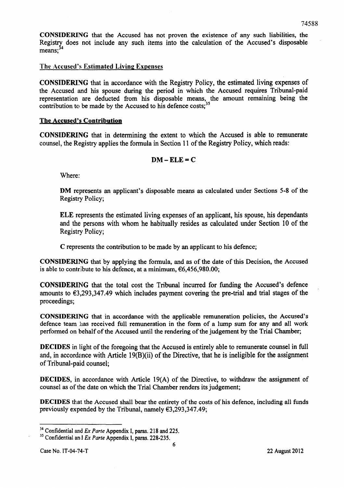CONSIDERING that the Accused has not proven the existence of any such liabilities, the Registry does not include any such items into the calculation of the Accused's disposable  $means;$ <sup>34</sup>

# The Accused's Estimated Living Expenses

CONSIDERING that in accordance with the Registry Policy, the estimated living expenses of the Accused and his spouse during the period in which the Accused requires Tribunal-paid representation are deducted from his disposable means, the amount remaining being the contribution to be made by the Accused to his defence  $costs<sub>i</sub>$ <sup>3</sup>

#### The Accused's Contribution

CONSIDERING that in determining the extent to which the Accused is able to remunerate counsel, the Registry applies the formula in Section 11 of the Registry Policy, which reads:

# $DM - ELE = C$

Where:

DM represents an applicant's disposable means as calculated under Sections 5-8 of the Registry Policy;

ELE represents the estimated living expenses of an applicant, his spouse, his dependants and the persons with whom he habitually resides as calculated under Section 10 of the Registry Policy;

C represents the contribution to be made by an applicant to his defence;

CONSIDERING that by applying the formula, and as of the date of this Decision, the Accused is able to contribute to his defence, at a minimum,  $66,456,980.00$ ;

CONSIDER1[NG that the total cost the Tribunal incurred for funding the Accused's defence amounts to €3,293,347.49 which includes payment covering the pre-trial and trial stages of the proceedings;

CONSIDERl[NG that in accordance with the applicable remuneration policies, the Accused's defence team has received full remuneration in the form of a lump sum for any and all work performed on behalf of the Accused until the rendering of the judgement by the Trial Chamber;

DECIDES in light of the foregoing that the Accused is entirely able to remunerate counsel in full and, in accordance with Article 19(B)(ii) of the Directive, that he is ineligible for the assignment of Tribunal-paid counsel;

DECIDES, in accordance with Article 19(A) of the Directive, to withdraw the assignment of counsel as of the date on which the Trial Chamber renders its judgement;

DECIDES that the Accused shall bear the entirety of the costs of his defence, including all funds previously expended by the Tribunal, namely €3,293,347.49;

<sup>34</sup> Confidential and *Ex Parte* Appendix I, paras. 218 and 225.

<sup>&</sup>lt;sup>35</sup> Confidential and *Ex Parte* Appendix I, paras. 228-235.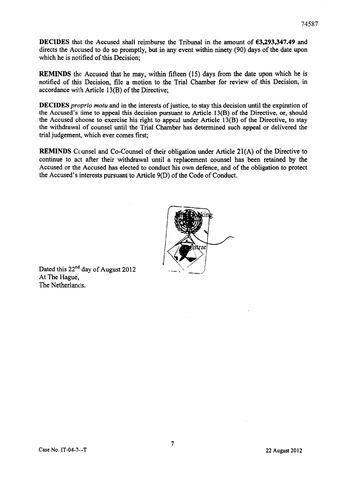DECIDES that the Accused shall reimburse the Tribunal in the amount of €3,293,347.49 and directs the Accused to do so promptly, but in any event within ninety (90) days of the date upon which he is notified of this Decision;

REMINDS the Accused that he may, within fifteen (15) days from the date upon which he is notified of this Decision, file a motion to the Trial Chamber for review of this Decision, in accordance with Article 13(B) of the Directive;

DECIDES *proprio motu* and in the interests of justice, to stay this decision until the expiration of the Accused's lime to appeal this decision pursuant to Article 13(B) of the Directive, or, should the Accused choose to exercise his right to appeal under Article 13(B) of the Directive, to stay the withdrawal of counsel until the Trial Chamber has determined such appeal or delivered the trial judgement, which ever comes first;

REMINDS Counsel and Co-Counsel of their obligation under Article 21(A) of the Directive to continue to act after their withdrawal until a replacement counsel has been retained by the Accused or the Accused has elected to conduct his own defence, and of the obligation to protect the Accused's interests pursuant to Article 9(D) of the Code of Conduct.



Dated this 22<sup>nd</sup> day of August 2012 At The Hague, The Netherlands.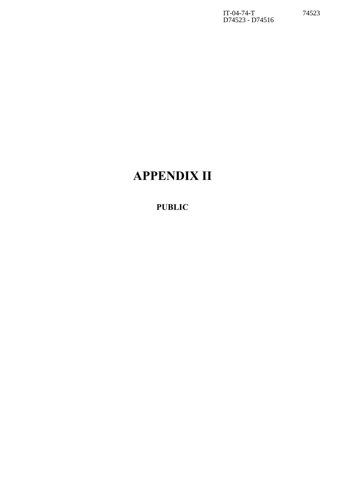IT-04-74-T 74523 D74523 - D74516

# **APPENDIX II**

# **PUBLIC**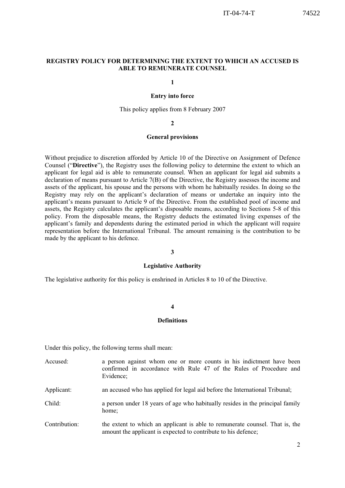#### **REGISTRY POLICY FOR DETERMINING THE EXTENT TO WHICH AN ACCUSED IS ABLE TO REMUNERATE COUNSEL**

**1**

#### **Entry into force**

This policy applies from 8 February 2007

#### **2**

#### **General provisions**

Without prejudice to discretion afforded by Article 10 of the Directive on Assignment of Defence Counsel ("**Directive**"), the Registry uses the following policy to determine the extent to which an applicant for legal aid is able to remunerate counsel. When an applicant for legal aid submits a declaration of means pursuant to Article 7(B) of the Directive, the Registry assesses the income and assets of the applicant, his spouse and the persons with whom he habitually resides. In doing so the Registry may rely on the applicant's declaration of means or undertake an inquiry into the applicant's means pursuant to Article 9 of the Directive. From the established pool of income and assets, the Registry calculates the applicant's disposable means, according to Sections 5-8 of this policy. From the disposable means, the Registry deducts the estimated living expenses of the applicant's family and dependents during the estimated period in which the applicant will require representation before the International Tribunal. The amount remaining is the contribution to be made by the applicant to his defence.

#### **3**

#### **Legislative Authority**

The legislative authority for this policy is enshrined in Articles 8 to 10 of the Directive.

#### **4**

#### **Definitions**

Under this policy, the following terms shall mean:

Accused: a person against whom one or more counts in his indictment have been confirmed in accordance with Rule 47 of the Rules of Procedure and Evidence; Applicant: an accused who has applied for legal aid before the International Tribunal; Child: a person under 18 years of age who habitually resides in the principal family home; Contribution: the extent to which an applicant is able to remunerate counsel. That is, the amount the applicant is expected to contribute to his defence;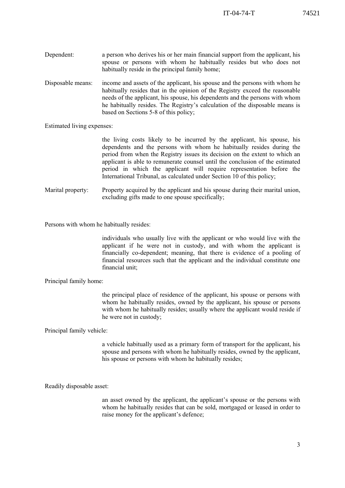- Dependent: a person who derives his or her main financial support from the applicant, his spouse or persons with whom he habitually resides but who does not habitually reside in the principal family home;
- Disposable means: income and assets of the applicant, his spouse and the persons with whom he habitually resides that in the opinion of the Registry exceed the reasonable needs of the applicant, his spouse, his dependents and the persons with whom he habitually resides. The Registry's calculation of the disposable means is based on Sections 5-8 of this policy;

Estimated living expenses:

 the living costs likely to be incurred by the applicant, his spouse, his dependents and the persons with whom he habitually resides during the period from when the Registry issues its decision on the extent to which an applicant is able to remunerate counsel until the conclusion of the estimated period in which the applicant will require representation before the International Tribunal, as calculated under Section 10 of this policy;

Marital property: Property acquired by the applicant and his spouse during their marital union, excluding gifts made to one spouse specifically;

Persons with whom he habitually resides:

individuals who usually live with the applicant or who would live with the applicant if he were not in custody, and with whom the applicant is financially co-dependent; meaning, that there is evidence of a pooling of financial resources such that the applicant and the individual constitute one financial unit;

Principal family home:

the principal place of residence of the applicant, his spouse or persons with whom he habitually resides, owned by the applicant, his spouse or persons with whom he habitually resides; usually where the applicant would reside if he were not in custody;

Principal family vehicle:

a vehicle habitually used as a primary form of transport for the applicant, his spouse and persons with whom he habitually resides, owned by the applicant, his spouse or persons with whom he habitually resides;

Readily disposable asset:

an asset owned by the applicant, the applicant's spouse or the persons with whom he habitually resides that can be sold, mortgaged or leased in order to raise money for the applicant's defence;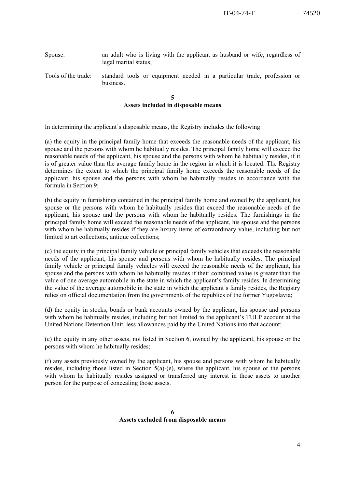#### Spouse: an adult who is living with the applicant as husband or wife, regardless of legal marital status;

Tools of the trade: standard tools or equipment needed in a particular trade, profession or business.

#### **5 Assets included in disposable means**

In determining the applicant's disposable means, the Registry includes the following:

(a) the equity in the principal family home that exceeds the reasonable needs of the applicant, his spouse and the persons with whom he habitually resides. The principal family home will exceed the reasonable needs of the applicant, his spouse and the persons with whom he habitually resides, if it is of greater value than the average family home in the region in which it is located. The Registry determines the extent to which the principal family home exceeds the reasonable needs of the applicant, his spouse and the persons with whom he habitually resides in accordance with the formula in Section 9;

(b) the equity in furnishings contained in the principal family home and owned by the applicant, his spouse or the persons with whom he habitually resides that exceed the reasonable needs of the applicant, his spouse and the persons with whom he habitually resides. The furnishings in the principal family home will exceed the reasonable needs of the applicant, his spouse and the persons with whom he habitually resides if they are luxury items of extraordinary value, including but not limited to art collections, antique collections;

(c) the equity in the principal family vehicle or principal family vehicles that exceeds the reasonable needs of the applicant, his spouse and persons with whom he habitually resides. The principal family vehicle or principal family vehicles will exceed the reasonable needs of the applicant, his spouse and the persons with whom he habitually resides if their combined value is greater than the value of one average automobile in the state in which the applicant's family resides. In determining the value of the average automobile in the state in which the applicant's family resides, the Registry relies on official documentation from the governments of the republics of the former Yugoslavia;

(d) the equity in stocks, bonds or bank accounts owned by the applicant, his spouse and persons with whom he habitually resides, including but not limited to the applicant's TULP account at the United Nations Detention Unit, less allowances paid by the United Nations into that account;

(e) the equity in any other assets, not listed in Section 6, owned by the applicant, his spouse or the persons with whom he habitually resides;

(f) any assets previously owned by the applicant, his spouse and persons with whom he habitually resides, including those listed in Section 5(a)-(e), where the applicant, his spouse or the persons with whom he habitually resides assigned or transferred any interest in those assets to another person for the purpose of concealing those assets.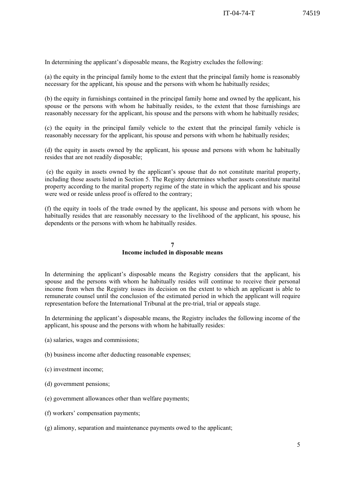In determining the applicant's disposable means, the Registry excludes the following:

(a) the equity in the principal family home to the extent that the principal family home is reasonably necessary for the applicant, his spouse and the persons with whom he habitually resides;

(b) the equity in furnishings contained in the principal family home and owned by the applicant, his spouse or the persons with whom he habitually resides, to the extent that those furnishings are reasonably necessary for the applicant, his spouse and the persons with whom he habitually resides;

(c) the equity in the principal family vehicle to the extent that the principal family vehicle is reasonably necessary for the applicant, his spouse and persons with whom he habitually resides;

(d) the equity in assets owned by the applicant, his spouse and persons with whom he habitually resides that are not readily disposable;

 (e) the equity in assets owned by the applicant's spouse that do not constitute marital property, including those assets listed in Section 5. The Registry determines whether assets constitute marital property according to the marital property regime of the state in which the applicant and his spouse were wed or reside unless proof is offered to the contrary;

(f) the equity in tools of the trade owned by the applicant, his spouse and persons with whom he habitually resides that are reasonably necessary to the livelihood of the applicant, his spouse, his dependents or the persons with whom he habitually resides.

#### **7 Income included in disposable means**

In determining the applicant's disposable means the Registry considers that the applicant, his spouse and the persons with whom he habitually resides will continue to receive their personal income from when the Registry issues its decision on the extent to which an applicant is able to remunerate counsel until the conclusion of the estimated period in which the applicant will require representation before the International Tribunal at the pre-trial, trial or appeals stage.

In determining the applicant's disposable means, the Registry includes the following income of the applicant, his spouse and the persons with whom he habitually resides:

- (a) salaries, wages and commissions;
- (b) business income after deducting reasonable expenses;
- (c) investment income;
- (d) government pensions;
- (e) government allowances other than welfare payments;
- (f) workers' compensation payments;
- (g) alimony, separation and maintenance payments owed to the applicant;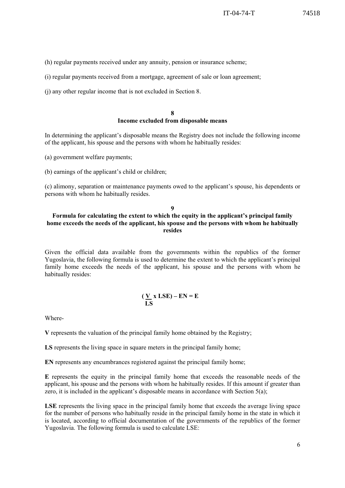(h) regular payments received under any annuity, pension or insurance scheme;

(i) regular payments received from a mortgage, agreement of sale or loan agreement;

(j) any other regular income that is not excluded in Section 8.

#### **8 Income excluded from disposable means**

In determining the applicant's disposable means the Registry does not include the following income of the applicant, his spouse and the persons with whom he habitually resides:

(a) government welfare payments;

(b) earnings of the applicant's child or children;

(c) alimony, separation or maintenance payments owed to the applicant's spouse, his dependents or persons with whom he habitually resides.

# **9**

#### **Formula for calculating the extent to which the equity in the applicant's principal family home exceeds the needs of the applicant, his spouse and the persons with whom he habitually resides**

Given the official data available from the governments within the republics of the former Yugoslavia, the following formula is used to determine the extent to which the applicant's principal family home exceeds the needs of the applicant, his spouse and the persons with whom he habitually resides:

#### $(\underline{V} \times LSE) - EN = E$  **LS**

Where-

**V** represents the valuation of the principal family home obtained by the Registry;

**LS** represents the living space in square meters in the principal family home;

**EN** represents any encumbrances registered against the principal family home;

**E** represents the equity in the principal family home that exceeds the reasonable needs of the applicant, his spouse and the persons with whom he habitually resides. If this amount if greater than zero, it is included in the applicant's disposable means in accordance with Section  $5(a)$ ;

LSE represents the living space in the principal family home that exceeds the average living space for the number of persons who habitually reside in the principal family home in the state in which it is located, according to official documentation of the governments of the republics of the former Yugoslavia. The following formula is used to calculate LSE: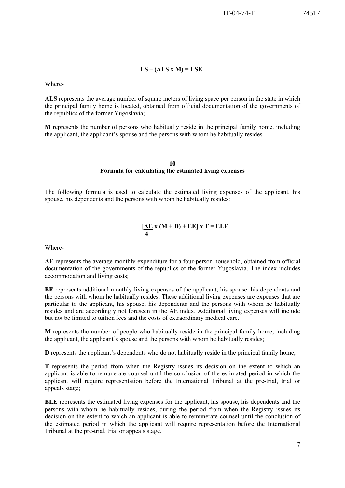IT-04-74-T 74517

# **LS – (ALS x M) = LSE**

Where-

**ALS** represents the average number of square meters of living space per person in the state in which the principal family home is located, obtained from official documentation of the governments of the republics of the former Yugoslavia;

**M** represents the number of persons who habitually reside in the principal family home, including the applicant, the applicant's spouse and the persons with whom he habitually resides.

#### **10 Formula for calculating the estimated living expenses**

The following formula is used to calculate the estimated living expenses of the applicant, his spouse, his dependents and the persons with whom he habitually resides:

$$
\frac{[AE}{4}x(M+D) + EE]xT = ELE
$$

Where-

**AE** represents the average monthly expenditure for a four-person household, obtained from official documentation of the governments of the republics of the former Yugoslavia. The index includes accommodation and living costs;

**EE** represents additional monthly living expenses of the applicant, his spouse, his dependents and the persons with whom he habitually resides. These additional living expenses are expenses that are particular to the applicant, his spouse, his dependents and the persons with whom he habitually resides and are accordingly not foreseen in the AE index. Additional living expenses will include but not be limited to tuition fees and the costs of extraordinary medical care.

**M** represents the number of people who habitually reside in the principal family home, including the applicant, the applicant's spouse and the persons with whom he habitually resides;

**D** represents the applicant's dependents who do not habitually reside in the principal family home;

**T** represents the period from when the Registry issues its decision on the extent to which an applicant is able to remunerate counsel until the conclusion of the estimated period in which the applicant will require representation before the International Tribunal at the pre-trial, trial or appeals stage;

**ELE** represents the estimated living expenses for the applicant, his spouse, his dependents and the persons with whom he habitually resides, during the period from when the Registry issues its decision on the extent to which an applicant is able to remunerate counsel until the conclusion of the estimated period in which the applicant will require representation before the International Tribunal at the pre-trial, trial or appeals stage.